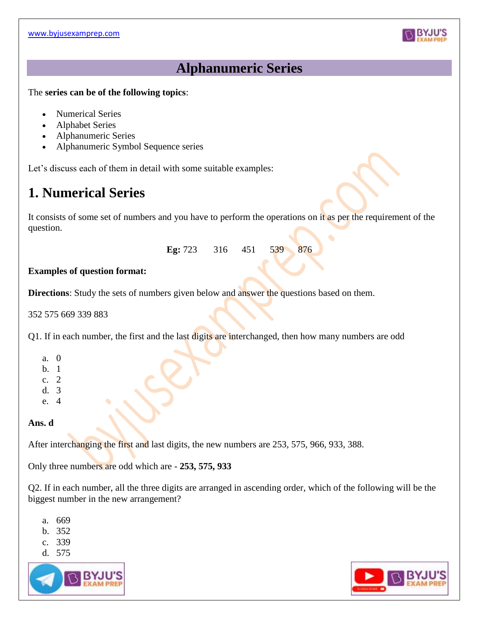

## **Alphanumeric Series**

The **series can be of the following topics**:

- Numerical Series
- Alphabet Series
- Alphanumeric Series
- Alphanumeric Symbol Sequence series

Let's discuss each of them in detail with some suitable examples:

# **1. Numerical Series**

It consists of some set of numbers and you have to perform the operations on it as per the requirement of the question.

**Eg:** 723 316 451 539 876

### **Examples of question format:**

**Directions**: Study the sets of numbers given below and answer the questions based on them.

352 575 669 339 883

Q1. If in each number, the first and the last digits are interchanged, then how many numbers are odd

- a. 0
- b. 1
- c. 2
- d. 3
- e. 4

### **Ans. d**

After interchanging the first and last digits, the new numbers are 253, 575, 966, 933, 388.

Only three numbers are odd which are - **253, 575, 933**

Q2. If in each number, all the three digits are arranged in ascending order, which of the following will be the biggest number in the new arrangement?

- a. 669
- b. 352
- c. 339
- d. 575



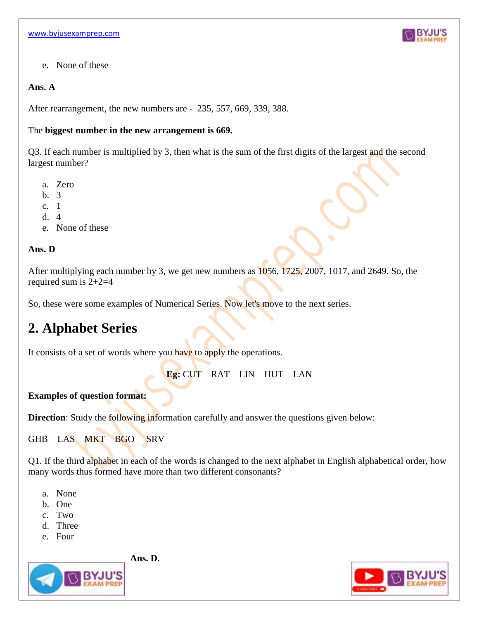

e. None of these

### **Ans. A**

After rearrangement, the new numbers are - 235, 557, 669, 339, 388.

### The **biggest number in the new arrangement is 669.**

Q3. If each number is multiplied by 3, then what is the sum of the first digits of the largest and the second largest number?

- a. Zero
- b. 3
- c. 1
- d. 4
- e. None of these

### **Ans. D**

After multiplying each number by 3, we get new numbers as 1056, 1725, 2007, 1017, and 2649. So, the required sum is  $2+2=4$ 

So, these were some examples of Numerical Series. Now let's move to the next series.

# **2. Alphabet Series**

It consists of a set of words where you have to apply the operations.

**Eg:** CUT RAT LIN HUT LAN

### **Examples of question format:**

**Direction**: Study the following information carefully and answer the questions given below:

GHB LAS MKT BGO SRV

Q1. If the third alphabet in each of the words is changed to the next alphabet in English alphabetical order, how many words thus formed have more than two different consonants?

- a. None
- b. One
- c. Two
- d. Three
- e. Four

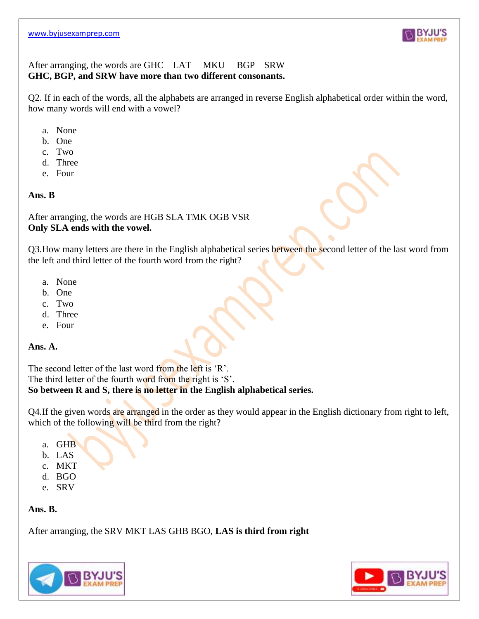

### After arranging, the words are GHC LAT MKU BGP SRW **GHC, BGP, and SRW have more than two different consonants.**

Q2. If in each of the words, all the alphabets are arranged in reverse English alphabetical order within the word, how many words will end with a vowel?

- a. None
- b. One
- c. Two
- d. Three
- e. Four

#### **Ans. B**

After arranging, the words are HGB SLA TMK OGB VSR **Only SLA ends with the vowel.**

Q3.How many letters are there in the English alphabetical series between the second letter of the last word from the left and third letter of the fourth word from the right?

- a. None
- b. One
- c. Two
- d. Three
- e. Four

#### **Ans. A.**

The second letter of the last word from the left is 'R'. The third letter of the fourth word from the right is 'S'.

## **So between R and S, there is no letter in the English alphabetical series.**

Q4. If the given words are arranged in the order as they would appear in the English dictionary from right to left, which of the following will be third from the right?

- a. GHB
- b. LAS
- c. MKT
- d. BGO
- e. SRV

### **Ans. B.**

After arranging, the SRV MKT LAS GHB BGO, **LAS is third from right**



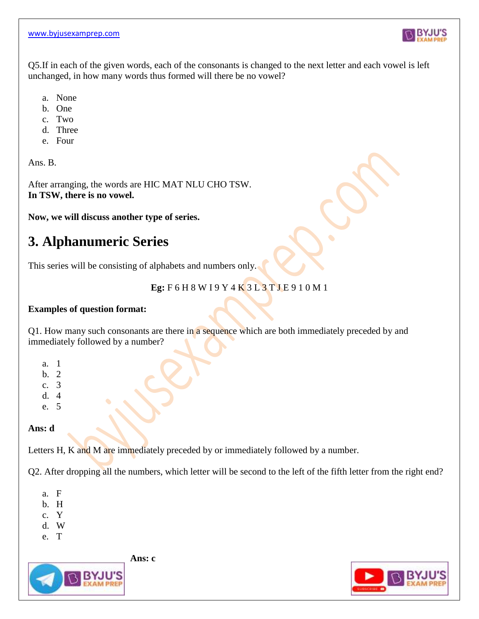

Q5.If in each of the given words, each of the consonants is changed to the next letter and each vowel is left unchanged, in how many words thus formed will there be no vowel?

- a. None
- b. One
- c. Two
- d. Three
- e. Four

Ans. B.

After arranging, the words are HIC MAT NLU CHO TSW. **In TSW, there is no vowel.**

**Now, we will discuss another type of series.**

# **3. Alphanumeric Series**

This series will be consisting of alphabets and numbers only.

### **Eg:** F 6 H 8 W I 9 Y 4 K 3 L 3 T J E 9 1 0 M 1

### **Examples of question format:**

Q1. How many such consonants are there in a sequence which are both immediately preceded by and immediately followed by a number?

- a. 1
- b. 2
- c. 3
- d. 4
- e. 5

### **Ans: d**

Letters H, K and M are immediately preceded by or immediately followed by a number.

Q2. After dropping all the numbers, which letter will be second to the left of the fifth letter from the right end?

- a. F
- b. H
- c. Y
- d. W
- e. T

**Ans: c**



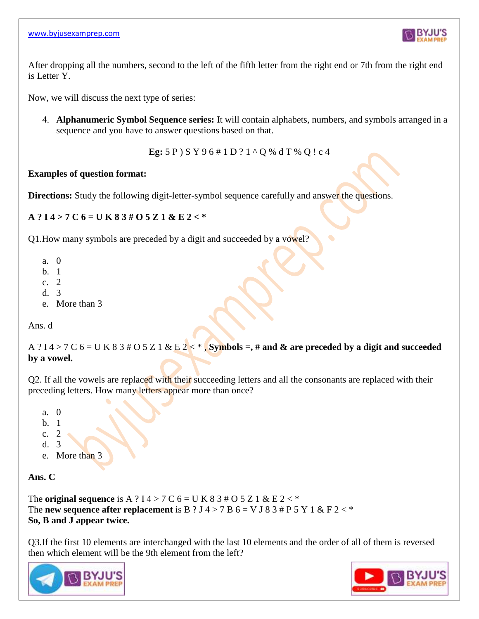

After dropping all the numbers, second to the left of the fifth letter from the right end or 7th from the right end is Letter Y.

Now, we will discuss the next type of series:

4. **Alphanumeric Symbol Sequence series:** It will contain alphabets, numbers, and symbols arranged in a sequence and you have to answer questions based on that.

 $\bullet$ 

**Eg:** 5 P ) S Y 9 6 # 1 D ? 1 ^ Q % d T % Q ! c 4

### **Examples of question format:**

**Directions:** Study the following digit-letter-symbol sequence carefully and answer the questions.

### **A ? I 4 > 7 C 6 = U K 8 3 # O 5 Z 1 & E 2 < \***

Q1.How many symbols are preceded by a digit and succeeded by a vowel?

- a. 0
- b. 1
- c. 2
- d. 3
- e. More than 3

Ans. d

A ? I  $4 > 7$  C  $6 = U K 8 3 # O 5 Z 1 & E 2 <$ , **Symbols =, # and & are preceded by a digit and succeeded by a vowel.**

Q2. If all the vowels are replaced with their succeeding letters and all the consonants are replaced with their preceding letters. How many letters appear more than once?

- a. 0 b. 1
- c. 2
- d. 3
- e. More than 3

**Ans. C**

The **original sequence** is A ? I  $4 > 7$  C  $6 = U$  K  $8$  3  $\#$  O 5 Z 1 & E  $2 <$  \* The **new sequence after replacement** is B ? J 4 > 7 B  $6 = V$  J 8 3  $#$  P 5 Y 1 & F 2 <  $*$ **So, B and J appear twice.**

Q3.If the first 10 elements are interchanged with the last 10 elements and the order of all of them is reversed then which element will be the 9th element from the left?